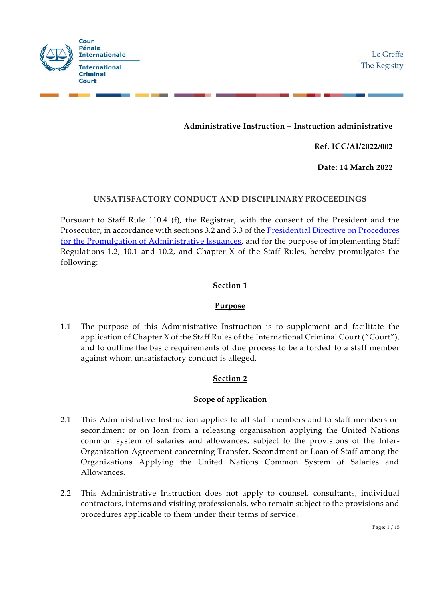

Le Greffe The Registry

## **Administrative Instruction – Instruction administrative**

**Ref. ICC/AI/2022/002**

**Date: 14 March 2022**

### **UNSATISFACTORY CONDUCT AND DISCIPLINARY PROCEEDINGS**

Pursuant to Staff Rule 110.4 (f), the Registrar, with the consent of the President and the Prosecutor, in accordance with sections 3.2 and 3.3 of the Presidential Directive on Procedures [for the Promulgation of Administrative Issuances,](https://www.icc-cpi.int/Vademecum/OT585535_ICC%20PRESD%20G%202003%20001%20(ENG)%20-%20PROCEDURES%20FOR%20THE%20PROMULGATION%20OF%20ADMINISTRATIVE%20ISSUANCES.PDF) and for the purpose of implementing Staff Regulations 1.2, 10.1 and 10.2, and Chapter X of the Staff Rules, hereby promulgates the following:

### **Section 1**

#### **Purpose**

1.1 The purpose of this Administrative Instruction is to supplement and facilitate the application of Chapter X of the Staff Rules of the International Criminal Court ("Court"), and to outline the basic requirements of due process to be afforded to a staff member against whom unsatisfactory conduct is alleged.

## **Section 2**

#### **Scope of application**

- 2.1 This Administrative Instruction applies to all staff members and to staff members on secondment or on loan from a releasing organisation applying the United Nations common system of salaries and allowances, subject to the provisions of the Inter-Organization Agreement concerning Transfer, Secondment or Loan of Staff among the Organizations Applying the United Nations Common System of Salaries and Allowances.
- 2.2 This Administrative Instruction does not apply to counsel, consultants, individual contractors, interns and visiting professionals, who remain subject to the provisions and procedures applicable to them under their terms of service.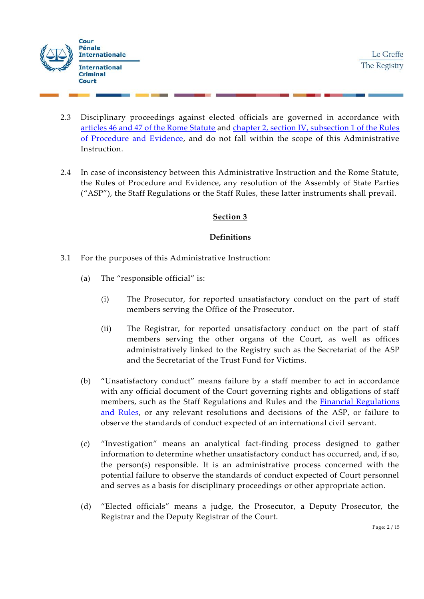

- 2.3 Disciplinary proceedings against elected officials are governed in accordance with [articles 46 and 47 of the Rome Statute](https://www.icc-cpi.int/Publications/Rome-Statute.pdf#page=39) and [chapter 2, section IV, subsection 1 of the Rules](https://www.icc-cpi.int/Publications/Rules-of-Procedure-and-Evidence.pdf#page=21)  [of Procedure and Evidence,](https://www.icc-cpi.int/Publications/Rules-of-Procedure-and-Evidence.pdf#page=21) and do not fall within the scope of this Administrative Instruction.
- 2.4 In case of inconsistency between this Administrative Instruction and the Rome Statute, the Rules of Procedure and Evidence, any resolution of the Assembly of State Parties ("ASP"), the Staff Regulations or the Staff Rules, these latter instruments shall prevail.

## **Definitions**

- 3.1 For the purposes of this Administrative Instruction:
	- (a) The "responsible official" is:
		- (i) The Prosecutor, for reported unsatisfactory conduct on the part of staff members serving the Office of the Prosecutor.
		- (ii) The Registrar, for reported unsatisfactory conduct on the part of staff members serving the other organs of the Court, as well as offices administratively linked to the Registry such as the Secretariat of the ASP and the Secretariat of the Trust Fund for Victims.
	- (b) "Unsatisfactory conduct" means failure by a staff member to act in accordance with any official document of the Court governing rights and obligations of staff members, such as the Staff Regulations and Rules and the [Financial Regulations](https://www.icc-cpi.int/NR/rdonlyres/D4B6E16A-BD66-46AF-BB43-8D4C3F069786/281202/FRRENG0705.pdf)  [and Rules,](https://www.icc-cpi.int/NR/rdonlyres/D4B6E16A-BD66-46AF-BB43-8D4C3F069786/281202/FRRENG0705.pdf) or any relevant resolutions and decisions of the ASP, or failure to observe the standards of conduct expected of an international civil servant.
	- (c) "Investigation" means an analytical fact-finding process designed to gather information to determine whether unsatisfactory conduct has occurred, and, if so, the person(s) responsible. It is an administrative process concerned with the potential failure to observe the standards of conduct expected of Court personnel and serves as a basis for disciplinary proceedings or other appropriate action.
	- (d) "Elected officials" means a judge, the Prosecutor, a Deputy Prosecutor, the Registrar and the Deputy Registrar of the Court.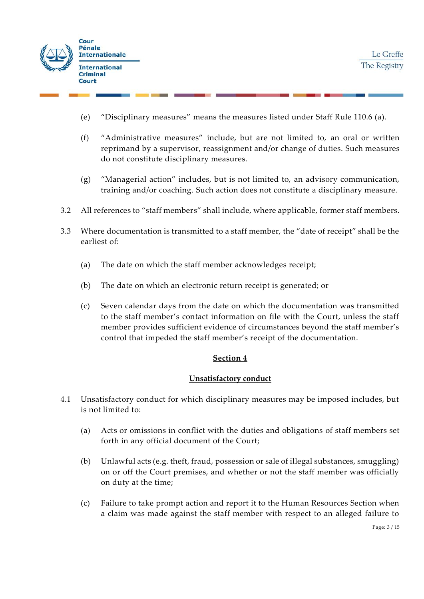

- (e) "Disciplinary measures" means the measures listed under Staff Rule 110.6 (a).
- (f) "Administrative measures" include, but are not limited to, an oral or written reprimand by a supervisor, reassignment and/or change of duties. Such measures do not constitute disciplinary measures.
- (g) "Managerial action" includes, but is not limited to, an advisory communication, training and/or coaching. Such action does not constitute a disciplinary measure.
- 3.2 All references to "staff members" shall include, where applicable, former staff members.
- 3.3 Where documentation is transmitted to a staff member, the "date of receipt" shall be the earliest of:
	- (a) The date on which the staff member acknowledges receipt;
	- (b) The date on which an electronic return receipt is generated; or
	- (c) Seven calendar days from the date on which the documentation was transmitted to the staff member's contact information on file with the Court, unless the staff member provides sufficient evidence of circumstances beyond the staff member's control that impeded the staff member's receipt of the documentation.

#### **Unsatisfactory conduct**

- 4.1 Unsatisfactory conduct for which disciplinary measures may be imposed includes, but is not limited to:
	- (a) Acts or omissions in conflict with the duties and obligations of staff members set forth in any official document of the Court;
	- (b) Unlawful acts (e.g. theft, fraud, possession or sale of illegal substances, smuggling) on or off the Court premises, and whether or not the staff member was officially on duty at the time;
	- (c) Failure to take prompt action and report it to the Human Resources Section when a claim was made against the staff member with respect to an alleged failure to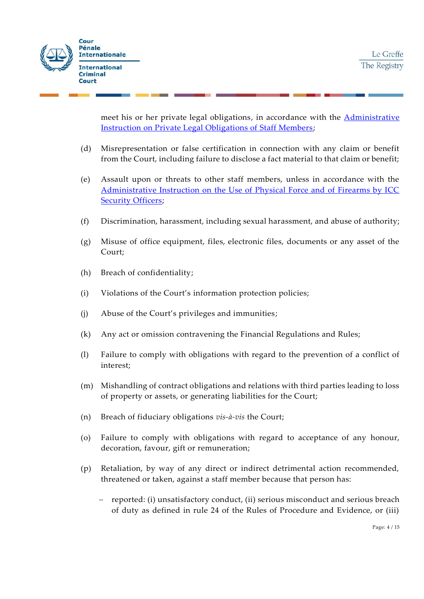

meet his or her private legal obligations, in accordance with the **Administrative** [Instruction on Private Legal Obligations of Staff Members;](https://www.icc-cpi.int/Vademecum/OT584300_ICC%20AI%202008%20004%20(ENG)%20-%20PRIVATE%20LEGAL%20OBLIGATIONS%20OF%20STAFF%20MEMBERS.PDF)

- (d) Misrepresentation or false certification in connection with any claim or benefit from the Court, including failure to disclose a fact material to that claim or benefit;
- (e) Assault upon or threats to other staff members, unless in accordance with the [Administrative Instruction on the Use of Physical Force and of Firearms by ICC](https://www.icc-cpi.int/Vademecum/ICC%20AI%202004%20003%20(ENG)%20-%20THE%20USE%20OF%20PHYSICAL%20FORCE%20AND%20OF%20FIREARMS%20BY%20ICC%20SECURITY%20OFFICERS.PDF)  [Security Officers;](https://www.icc-cpi.int/Vademecum/ICC%20AI%202004%20003%20(ENG)%20-%20THE%20USE%20OF%20PHYSICAL%20FORCE%20AND%20OF%20FIREARMS%20BY%20ICC%20SECURITY%20OFFICERS.PDF)
- (f) Discrimination, harassment, including sexual harassment, and abuse of authority;
- (g) Misuse of office equipment, files, electronic files, documents or any asset of the Court;
- (h) Breach of confidentiality;
- (i) Violations of the Court's information protection policies;
- (j) Abuse of the Court's privileges and immunities;
- (k) Any act or omission contravening the Financial Regulations and Rules;
- (l) Failure to comply with obligations with regard to the prevention of a conflict of interest;
- (m) Mishandling of contract obligations and relations with third parties leading to loss of property or assets, or generating liabilities for the Court;
- (n) Breach of fiduciary obligations *vis-à-vis* the Court;
- (o) Failure to comply with obligations with regard to acceptance of any honour, decoration, favour, gift or remuneration;
- (p) Retaliation, by way of any direct or indirect detrimental action recommended, threatened or taken, against a staff member because that person has:
	- reported: (i) unsatisfactory conduct, (ii) serious misconduct and serious breach of duty as defined in rule 24 of the Rules of Procedure and Evidence, or (iii)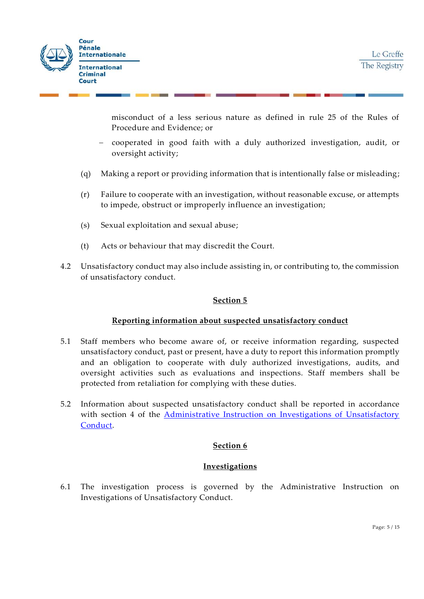

misconduct of a less serious nature as defined in rule 25 of the Rules of Procedure and Evidence; or

- cooperated in good faith with a duly authorized investigation, audit, or oversight activity;
- (q) Making a report or providing information that is intentionally false or misleading;
- (r) Failure to cooperate with an investigation, without reasonable excuse, or attempts to impede, obstruct or improperly influence an investigation;
- (s) Sexual exploitation and sexual abuse;
- (t) Acts or behaviour that may discredit the Court.
- 4.2 Unsatisfactory conduct may also include assisting in, or contributing to, the commission of unsatisfactory conduct.

#### **Section 5**

#### **Reporting information about suspected unsatisfactory conduct**

- 5.1 Staff members who become aware of, or receive information regarding, suspected unsatisfactory conduct, past or present, have a duty to report this information promptly and an obligation to cooperate with duly authorized investigations, audits, and oversight activities such as evaluations and inspections. Staff members shall be protected from retaliation for complying with these duties.
- 5.2 Information about suspected unsatisfactory conduct shall be reported in accordance with section 4 of the Administrative Instruction on Investigations of Unsatisfactory [Conduct.](https://www.icc-cpi.int/Vademecum/ICC_AI_2022_001-ENG_INVESTIGATIONS-OF-UNSATISFACTORY-CONDUCT.pdf)

## **Section 6**

#### **Investigations**

6.1 The investigation process is governed by the Administrative Instruction on Investigations of Unsatisfactory Conduct.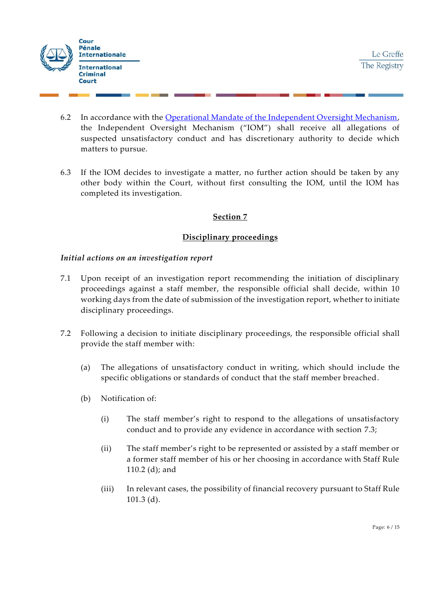

- 6.2 In accordance with the [Operational Mandate of the Independent Oversight Mechanism,](https://asp.icc-cpi.int/iccdocs/asp_docs/ASP19/ICC-ASP-19-Res6-ENG.pdf#page=26) the Independent Oversight Mechanism ("IOM") shall receive all allegations of suspected unsatisfactory conduct and has discretionary authority to decide which matters to pursue.
- 6.3 If the IOM decides to investigate a matter, no further action should be taken by any other body within the Court, without first consulting the IOM, until the IOM has completed its investigation.

## **Disciplinary proceedings**

### *Initial actions on an investigation report*

- 7.1 Upon receipt of an investigation report recommending the initiation of disciplinary proceedings against a staff member, the responsible official shall decide, within 10 working days from the date of submission of the investigation report, whether to initiate disciplinary proceedings.
- 7.2 Following a decision to initiate disciplinary proceedings, the responsible official shall provide the staff member with:
	- (a) The allegations of unsatisfactory conduct in writing, which should include the specific obligations or standards of conduct that the staff member breached.
	- (b) Notification of:
		- (i) The staff member's right to respond to the allegations of unsatisfactory conduct and to provide any evidence in accordance with section 7.3;
		- (ii) The staff member's right to be represented or assisted by a staff member or a former staff member of his or her choosing in accordance with Staff Rule 110.2 (d); and
		- (iii) In relevant cases, the possibility of financial recovery pursuant to Staff Rule 101.3 (d).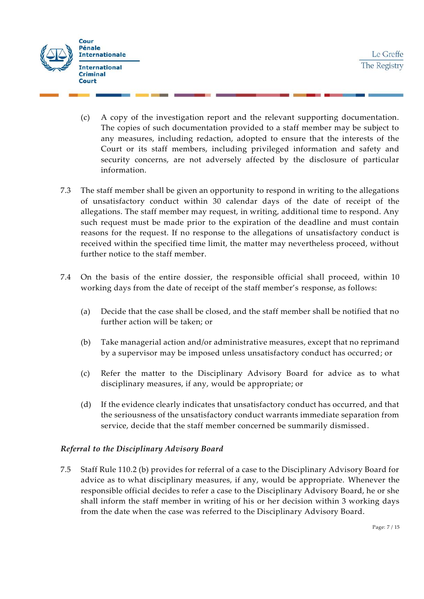



- (c) A copy of the investigation report and the relevant supporting documentation. The copies of such documentation provided to a staff member may be subject to any measures, including redaction, adopted to ensure that the interests of the Court or its staff members, including privileged information and safety and security concerns, are not adversely affected by the disclosure of particular information.
- 7.3 The staff member shall be given an opportunity to respond in writing to the allegations of unsatisfactory conduct within 30 calendar days of the date of receipt of the allegations. The staff member may request, in writing, additional time to respond. Any such request must be made prior to the expiration of the deadline and must contain reasons for the request. If no response to the allegations of unsatisfactory conduct is received within the specified time limit, the matter may nevertheless proceed, without further notice to the staff member.
- 7.4 On the basis of the entire dossier, the responsible official shall proceed, within 10 working days from the date of receipt of the staff member's response, as follows:
	- (a) Decide that the case shall be closed, and the staff member shall be notified that no further action will be taken; or
	- (b) Take managerial action and/or administrative measures, except that no reprimand by a supervisor may be imposed unless unsatisfactory conduct has occurred; or
	- (c) Refer the matter to the Disciplinary Advisory Board for advice as to what disciplinary measures, if any, would be appropriate; or
	- (d) If the evidence clearly indicates that unsatisfactory conduct has occurred, and that the seriousness of the unsatisfactory conduct warrants immediate separation from service, decide that the staff member concerned be summarily dismissed.

# *Referral to the Disciplinary Advisory Board*

7.5 Staff Rule 110.2 (b) provides for referral of a case to the Disciplinary Advisory Board for advice as to what disciplinary measures, if any, would be appropriate. Whenever the responsible official decides to refer a case to the Disciplinary Advisory Board, he or she shall inform the staff member in writing of his or her decision within 3 working days from the date when the case was referred to the Disciplinary Advisory Board.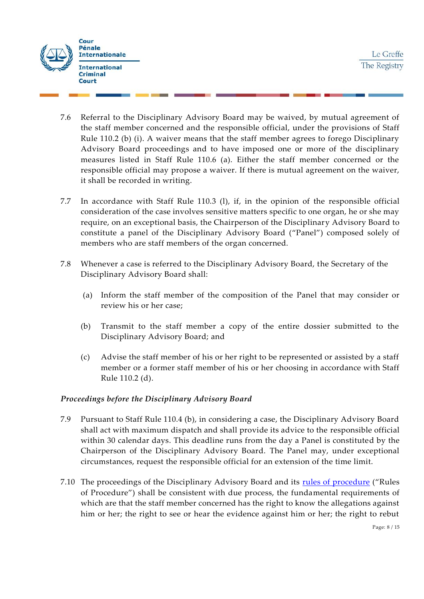

- 7.6 Referral to the Disciplinary Advisory Board may be waived, by mutual agreement of the staff member concerned and the responsible official, under the provisions of Staff Rule 110.2 (b) (i). A waiver means that the staff member agrees to forego Disciplinary Advisory Board proceedings and to have imposed one or more of the disciplinary measures listed in Staff Rule 110.6 (a). Either the staff member concerned or the responsible official may propose a waiver. If there is mutual agreement on the waiver, it shall be recorded in writing.
- 7.7 In accordance with Staff Rule 110.3 (l), if, in the opinion of the responsible official consideration of the case involves sensitive matters specific to one organ, he or she may require, on an exceptional basis, the Chairperson of the Disciplinary Advisory Board to constitute a panel of the Disciplinary Advisory Board ("Panel") composed solely of members who are staff members of the organ concerned.
- 7.8 Whenever a case is referred to the Disciplinary Advisory Board, the Secretary of the Disciplinary Advisory Board shall:
	- (a) Inform the staff member of the composition of the Panel that may consider or review his or her case;
	- (b) Transmit to the staff member a copy of the entire dossier submitted to the Disciplinary Advisory Board; and
	- (c) Advise the staff member of his or her right to be represented or assisted by a staff member or a former staff member of his or her choosing in accordance with Staff Rule 110.2 (d).

## *Proceedings before the Disciplinary Advisory Board*

- 7.9 Pursuant to Staff Rule 110.4 (b), in considering a case, the Disciplinary Advisory Board shall act with maximum dispatch and shall provide its advice to the responsible official within 30 calendar days. This deadline runs from the day a Panel is constituted by the Chairperson of the Disciplinary Advisory Board. The Panel may, under exceptional circumstances, request the responsible official for an extension of the time limit.
- 7.10 The proceedings of the Disciplinary Advisory Board and its [rules of procedure](https://www.icc-cpi.int/Vademecum/ICC%20AI%202019%20006%20Annex%20%20(ENG)%20-%20RULES%20OF%20PROCEDURE%20OF%20THE%20DISCIPLINARY%20ADVISORY%20BOARD.PDF) ("Rules of Procedure") shall be consistent with due process, the fundamental requirements of which are that the staff member concerned has the right to know the allegations against him or her; the right to see or hear the evidence against him or her; the right to rebut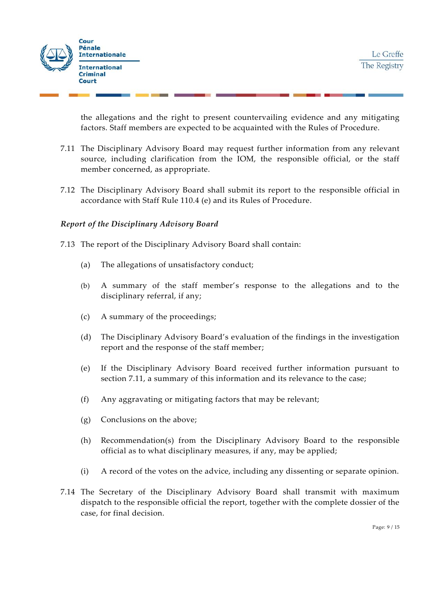

the allegations and the right to present countervailing evidence and any mitigating factors. Staff members are expected to be acquainted with the Rules of Procedure.

- 7.11 The Disciplinary Advisory Board may request further information from any relevant source, including clarification from the IOM, the responsible official, or the staff member concerned, as appropriate.
- 7.12 The Disciplinary Advisory Board shall submit its report to the responsible official in accordance with Staff Rule 110.4 (e) and its Rules of Procedure.

### *Report of the Disciplinary Advisory Board*

7.13 The report of the Disciplinary Advisory Board shall contain:

- (a) The allegations of unsatisfactory conduct;
- (b) A summary of the staff member's response to the allegations and to the disciplinary referral, if any;
- (c) A summary of the proceedings;
- (d) The Disciplinary Advisory Board's evaluation of the findings in the investigation report and the response of the staff member;
- (e) If the Disciplinary Advisory Board received further information pursuant to section 7.11, a summary of this information and its relevance to the case;
- (f) Any aggravating or mitigating factors that may be relevant;
- (g) Conclusions on the above;
- (h) Recommendation(s) from the Disciplinary Advisory Board to the responsible official as to what disciplinary measures, if any, may be applied;
- (i) A record of the votes on the advice, including any dissenting or separate opinion.
- 7.14 The Secretary of the Disciplinary Advisory Board shall transmit with maximum dispatch to the responsible official the report, together with the complete dossier of the case, for final decision.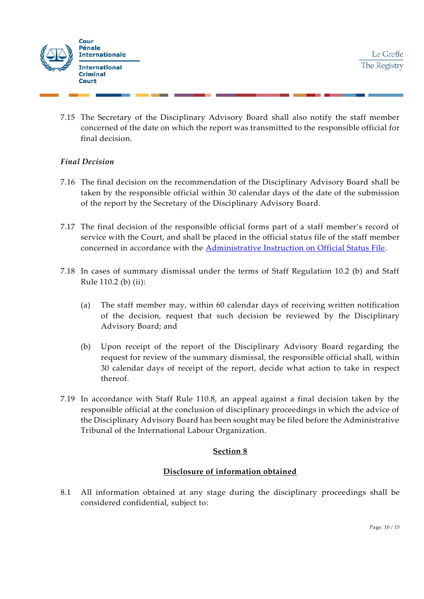

7.15 The Secretary of the Disciplinary Advisory Board shall also notify the staff member concerned of the date on which the report was transmitted to the responsible official for final decision.

## *Final Decision*

- 7.16 The final decision on the recommendation of the Disciplinary Advisory Board shall be taken by the responsible official within 30 calendar days of the date of the submission of the report by the Secretary of the Disciplinary Advisory Board.
- 7.17 The final decision of the responsible official forms part of a staff member's record of service with the Court, and shall be placed in the official status file of the staff member concerned in accordance with the [Administrative Instruction on Official Status File.](https://www.icc-cpi.int/Vademecum/OT584296_ICC%20AI%202008%20002%20(ENG)%20-%20OFFICIAL%20STATUS%20FILE.PDF)
- 7.18 In cases of summary dismissal under the terms of Staff Regulation 10.2 (b) and Staff Rule 110.2 (b) (ii):
	- (a) The staff member may, within 60 calendar days of receiving written notification of the decision, request that such decision be reviewed by the Disciplinary Advisory Board; and
	- (b) Upon receipt of the report of the Disciplinary Advisory Board regarding the request for review of the summary dismissal, the responsible official shall, within 30 calendar days of receipt of the report, decide what action to take in respect thereof.
- 7.19 In accordance with Staff Rule 110.8, an appeal against a final decision taken by the responsible official at the conclusion of disciplinary proceedings in which the advice of the Disciplinary Advisory Board has been sought may be filed before the Administrative Tribunal of the International Labour Organization.

## **Section 8**

## **Disclosure of information obtained**

8.1 All information obtained at any stage during the disciplinary proceedings shall be considered confidential, subject to: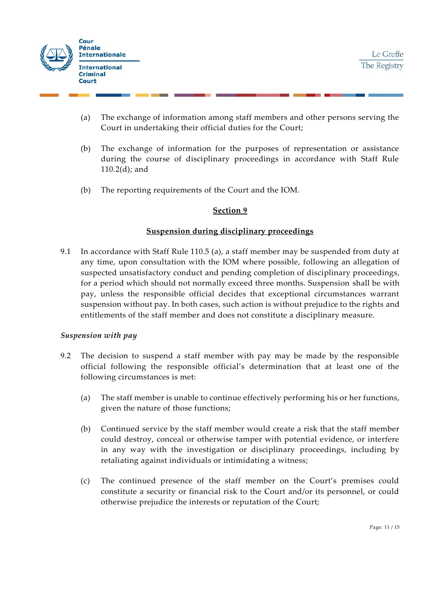

- (a) The exchange of information among staff members and other persons serving the Court in undertaking their official duties for the Court;
- (b) The exchange of information for the purposes of representation or assistance during the course of disciplinary proceedings in accordance with Staff Rule 110.2(d); and
- (b) The reporting requirements of the Court and the IOM.

### **Suspension during disciplinary proceedings**

9.1 In accordance with Staff Rule 110.5 (a), a staff member may be suspended from duty at any time, upon consultation with the IOM where possible, following an allegation of suspected unsatisfactory conduct and pending completion of disciplinary proceedings, for a period which should not normally exceed three months. Suspension shall be with pay, unless the responsible official decides that exceptional circumstances warrant suspension without pay. In both cases, such action is without prejudice to the rights and entitlements of the staff member and does not constitute a disciplinary measure.

#### *Suspension with pay*

- 9.2 The decision to suspend a staff member with pay may be made by the responsible official following the responsible official's determination that at least one of the following circumstances is met:
	- (a) The staff member is unable to continue effectively performing his or her functions, given the nature of those functions;
	- (b) Continued service by the staff member would create a risk that the staff member could destroy, conceal or otherwise tamper with potential evidence, or interfere in any way with the investigation or disciplinary proceedings, including by retaliating against individuals or intimidating a witness;
	- (c) The continued presence of the staff member on the Court's premises could constitute a security or financial risk to the Court and/or its personnel, or could otherwise prejudice the interests or reputation of the Court;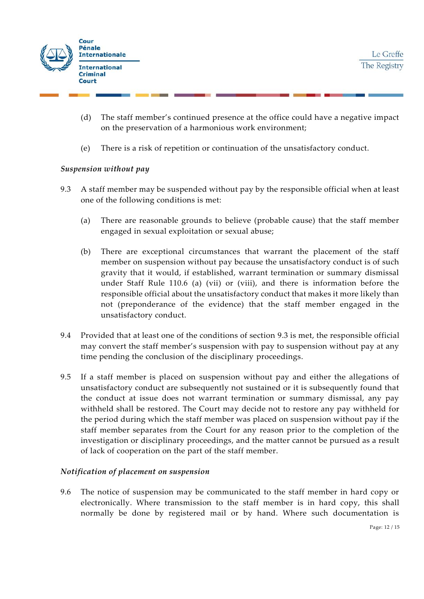

- (d) The staff member's continued presence at the office could have a negative impact on the preservation of a harmonious work environment;
- (e) There is a risk of repetition or continuation of the unsatisfactory conduct.

## *Suspension without pay*

- 9.3 A staff member may be suspended without pay by the responsible official when at least one of the following conditions is met:
	- (a) There are reasonable grounds to believe (probable cause) that the staff member engaged in sexual exploitation or sexual abuse;
	- (b) There are exceptional circumstances that warrant the placement of the staff member on suspension without pay because the unsatisfactory conduct is of such gravity that it would, if established, warrant termination or summary dismissal under Staff Rule 110.6 (a) (vii) or (viii), and there is information before the responsible official about the unsatisfactory conduct that makes it more likely than not (preponderance of the evidence) that the staff member engaged in the unsatisfactory conduct.
- 9.4 Provided that at least one of the conditions of section 9.3 is met, the responsible official may convert the staff member's suspension with pay to suspension without pay at any time pending the conclusion of the disciplinary proceedings.
- 9.5 If a staff member is placed on suspension without pay and either the allegations of unsatisfactory conduct are subsequently not sustained or it is subsequently found that the conduct at issue does not warrant termination or summary dismissal, any pay withheld shall be restored. The Court may decide not to restore any pay withheld for the period during which the staff member was placed on suspension without pay if the staff member separates from the Court for any reason prior to the completion of the investigation or disciplinary proceedings, and the matter cannot be pursued as a result of lack of cooperation on the part of the staff member.

## *Notification of placement on suspension*

9.6 The notice of suspension may be communicated to the staff member in hard copy or electronically. Where transmission to the staff member is in hard copy, this shall normally be done by registered mail or by hand. Where such documentation is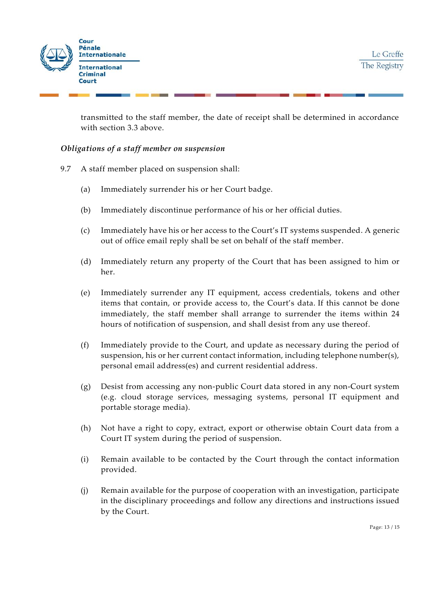

transmitted to the staff member, the date of receipt shall be determined in accordance with section 3.3 above.

### *Obligations of a staff member on suspension*

- 9.7 A staff member placed on suspension shall:
	- (a) Immediately surrender his or her Court badge.
	- (b) Immediately discontinue performance of his or her official duties.
	- (c) Immediately have his or her access to the Court's IT systems suspended. A generic out of office email reply shall be set on behalf of the staff member.
	- (d) Immediately return any property of the Court that has been assigned to him or her.
	- (e) Immediately surrender any IT equipment, access credentials, tokens and other items that contain, or provide access to, the Court's data. If this cannot be done immediately, the staff member shall arrange to surrender the items within 24 hours of notification of suspension, and shall desist from any use thereof.
	- (f) Immediately provide to the Court, and update as necessary during the period of suspension, his or her current contact information, including telephone number(s), personal email address(es) and current residential address.
	- (g) Desist from accessing any non-public Court data stored in any non-Court system (e.g. cloud storage services, messaging systems, personal IT equipment and portable storage media).
	- (h) Not have a right to copy, extract, export or otherwise obtain Court data from a Court IT system during the period of suspension.
	- (i) Remain available to be contacted by the Court through the contact information provided.
	- (j) Remain available for the purpose of cooperation with an investigation, participate in the disciplinary proceedings and follow any directions and instructions issued by the Court.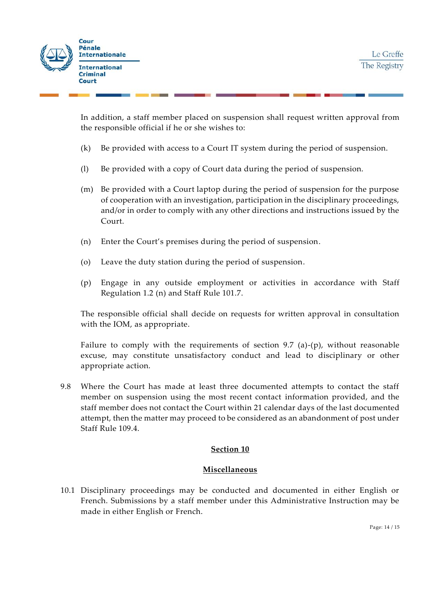

In addition, a staff member placed on suspension shall request written approval from the responsible official if he or she wishes to:

- (k) Be provided with access to a Court IT system during the period of suspension.
- (l) Be provided with a copy of Court data during the period of suspension.
- (m) Be provided with a Court laptop during the period of suspension for the purpose of cooperation with an investigation, participation in the disciplinary proceedings, and/or in order to comply with any other directions and instructions issued by the Court.
- (n) Enter the Court's premises during the period of suspension.
- (o) Leave the duty station during the period of suspension.
- (p) Engage in any outside employment or activities in accordance with Staff Regulation 1.2 (n) and Staff Rule 101.7.

The responsible official shall decide on requests for written approval in consultation with the IOM, as appropriate.

Failure to comply with the requirements of section 9.7 (a)-(p), without reasonable excuse, may constitute unsatisfactory conduct and lead to disciplinary or other appropriate action.

9.8 Where the Court has made at least three documented attempts to contact the staff member on suspension using the most recent contact information provided, and the staff member does not contact the Court within 21 calendar days of the last documented attempt, then the matter may proceed to be considered as an abandonment of post under Staff Rule 109.4.

#### **Section 10**

#### **Miscellaneous**

10.1 Disciplinary proceedings may be conducted and documented in either English or French. Submissions by a staff member under this Administrative Instruction may be made in either English or French.